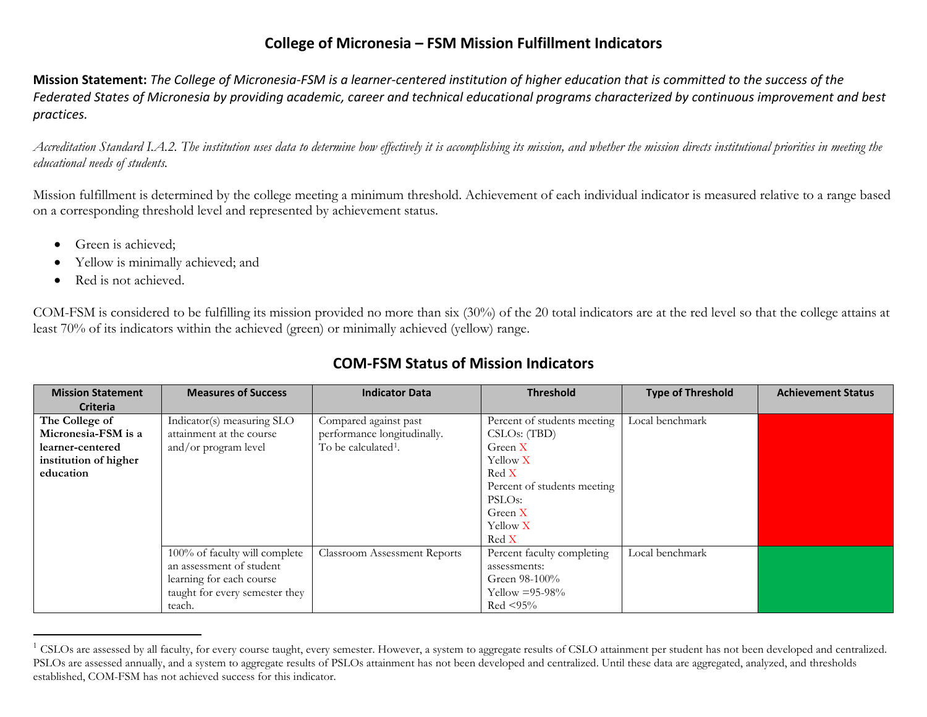## <span id="page-0-0"></span>**College of Micronesia – FSM Mission Fulfillment Indicators**

**Mission Statement:** *The College of Micronesia-FSM is a learner-centered institution of higher education that is committed to the success of the Federated States of Micronesia by providing academic, career and technical educational programs characterized by continuous improvement and best practices.*

*Accreditation Standard I.A.2. The institution uses data to determine how effectively it is accomplishing its mission, and whether the mission directs institutional priorities in meeting the educational needs of students.*

Mission fulfillment is determined by the college meeting a minimum threshold. Achievement of each individual indicator is measured relative to a range based on a corresponding threshold level and represented by achievement status.

- Green is achieved;
- Yellow is minimally achieved; and
- Red is not achieved.

 $\overline{a}$ 

COM-FSM is considered to be fulfilling its mission provided no more than six (30%) of the 20 total indicators are at the red level so that the college attains at least 70% of its indicators within the achieved (green) or minimally achieved (yellow) range.

| <b>Mission Statement</b> | <b>Measures of Success</b>     | <b>Indicator Data</b>               | <b>Threshold</b>            | <b>Type of Threshold</b> | <b>Achievement Status</b> |
|--------------------------|--------------------------------|-------------------------------------|-----------------------------|--------------------------|---------------------------|
| <b>Criteria</b>          |                                |                                     |                             |                          |                           |
| The College of           | Indicator(s) measuring SLO     | Compared against past               | Percent of students meeting | Local benchmark          |                           |
| Micronesia-FSM is a      | attainment at the course       | performance longitudinally.         | CSLOS: (TBD)                |                          |                           |
| learner-centered         | and/or program level           | To be calculated <sup>1</sup> .     | Green X                     |                          |                           |
| institution of higher    |                                |                                     | Yellow X                    |                          |                           |
| education                |                                |                                     | Red X                       |                          |                           |
|                          |                                |                                     | Percent of students meeting |                          |                           |
|                          |                                |                                     | PSLO <sub>s</sub> :         |                          |                           |
|                          |                                |                                     | Green X                     |                          |                           |
|                          |                                |                                     | Yellow X                    |                          |                           |
|                          |                                |                                     | Red X                       |                          |                           |
|                          | 100% of faculty will complete  | <b>Classroom Assessment Reports</b> | Percent faculty completing  | Local benchmark          |                           |
|                          | an assessment of student       |                                     | assessments:                |                          |                           |
|                          | learning for each course       |                                     | Green 98-100%               |                          |                           |
|                          | taught for every semester they |                                     | Yellow $= 95-98\%$          |                          |                           |
|                          | teach.                         |                                     | $Red < 95\%$                |                          |                           |

## **COM-FSM Status of Mission Indicators**

<sup>&</sup>lt;sup>1</sup> CSLOs are assessed by all faculty, for every course taught, every semester. However, a system to aggregate results of CSLO attainment per student has not been developed and centralized. PSLOs are assessed annually, and a system to aggregate results of PSLOs attainment has not been developed and centralized. Until these data are aggregated, analyzed, and thresholds established, COM-FSM has not achieved success for this indicator.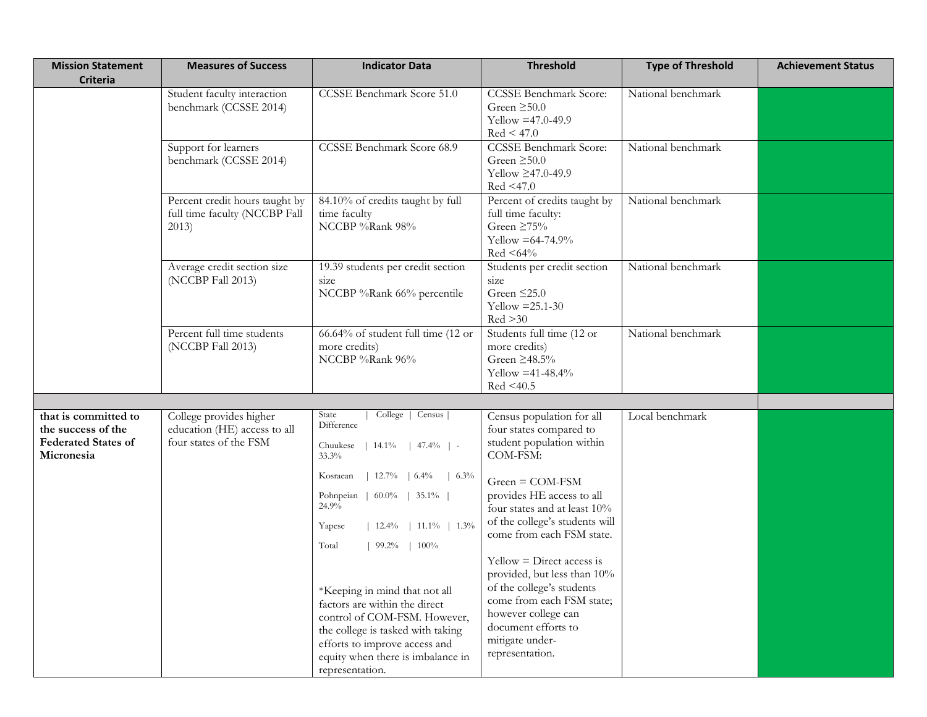| <b>Mission Statement</b><br><b>Criteria</b>                                            | <b>Measures of Success</b>                                                        | <b>Indicator Data</b>                                                                                                                                                                                                                                                                                                                                                                                                                                                        | <b>Threshold</b>                                                                                                                                                                                                                                                                                                                                                                                                                                           | <b>Type of Threshold</b> | <b>Achievement Status</b> |
|----------------------------------------------------------------------------------------|-----------------------------------------------------------------------------------|------------------------------------------------------------------------------------------------------------------------------------------------------------------------------------------------------------------------------------------------------------------------------------------------------------------------------------------------------------------------------------------------------------------------------------------------------------------------------|------------------------------------------------------------------------------------------------------------------------------------------------------------------------------------------------------------------------------------------------------------------------------------------------------------------------------------------------------------------------------------------------------------------------------------------------------------|--------------------------|---------------------------|
|                                                                                        | Student faculty interaction<br>benchmark (CCSSE 2014)                             | CCSSE Benchmark Score 51.0                                                                                                                                                                                                                                                                                                                                                                                                                                                   | <b>CCSSE Benchmark Score:</b><br>Green $\geq 50.0$<br>Yellow $=47.0 - 49.9$<br>Red < 47.0                                                                                                                                                                                                                                                                                                                                                                  | National benchmark       |                           |
|                                                                                        | Support for learners<br>benchmark (CCSSE 2014)                                    |                                                                                                                                                                                                                                                                                                                                                                                                                                                                              | <b>CCSSE Benchmark Score:</b><br>Green $\geq 50.0$<br>Yellow ≥47.0-49.9<br>Red < 47.0                                                                                                                                                                                                                                                                                                                                                                      | National benchmark       |                           |
| Percent credit hours taught by<br>full time faculty (NCCBP Fall<br>2013)               |                                                                                   | 84.10% of credits taught by full<br>time faculty<br>NCCBP %Rank 98%                                                                                                                                                                                                                                                                                                                                                                                                          | Percent of credits taught by<br>full time faculty:<br>Green $\geq 75\%$<br>Yellow $=64-74.9%$<br>$Red < 64\%$                                                                                                                                                                                                                                                                                                                                              | National benchmark       |                           |
|                                                                                        | Average credit section size<br>(NCCBP Fall 2013)                                  | 19.39 students per credit section<br>size<br>NCCBP %Rank 66% percentile                                                                                                                                                                                                                                                                                                                                                                                                      | Students per credit section<br>National benchmark<br>size<br>Green $\leq$ 25.0<br>Yellow $=25.1-30$<br>Red >30                                                                                                                                                                                                                                                                                                                                             |                          |                           |
| Percent full time students<br>(NCCBP Fall 2013)                                        |                                                                                   | 66.64% of student full time (12 or<br>more credits)<br>NCCBP %Rank 96%                                                                                                                                                                                                                                                                                                                                                                                                       | Students full time (12 or<br>more credits)<br>Green $\geq$ 48.5%<br>Yellow = $41-48.4%$<br>Red < 40.5                                                                                                                                                                                                                                                                                                                                                      | National benchmark       |                           |
|                                                                                        |                                                                                   |                                                                                                                                                                                                                                                                                                                                                                                                                                                                              |                                                                                                                                                                                                                                                                                                                                                                                                                                                            |                          |                           |
| that is committed to<br>the success of the<br><b>Federated States of</b><br>Micronesia | College provides higher<br>education (HE) access to all<br>four states of the FSM | College   Census  <br>State<br>Difference<br>Chuukese   14.1%   47.4%   -<br>33.3%<br>  $12.7\%$   $6.4\%$<br>Kosraean<br>$\frac{1}{6.3\%}$<br>Pohnpeian   60.0%   35.1%  <br>24.9%<br>  $12.4\%$   $11.1\%$   $1.3\%$<br>Yapese<br>Total<br>$99.2\%$   $100\%$<br>*Keeping in mind that not all<br>factors are within the direct<br>control of COM-FSM. However,<br>the college is tasked with taking<br>efforts to improve access and<br>equity when there is imbalance in | Census population for all<br>four states compared to<br>student population within<br>COM-FSM:<br>$Green = COM-FSM$<br>provides HE access to all<br>four states and at least 10%<br>of the college's students will<br>come from each FSM state.<br>$Yellow = Direct access is$<br>provided, but less than 10%<br>of the college's students<br>come from each FSM state;<br>however college can<br>document efforts to<br>mitigate under-<br>representation. | Local benchmark          |                           |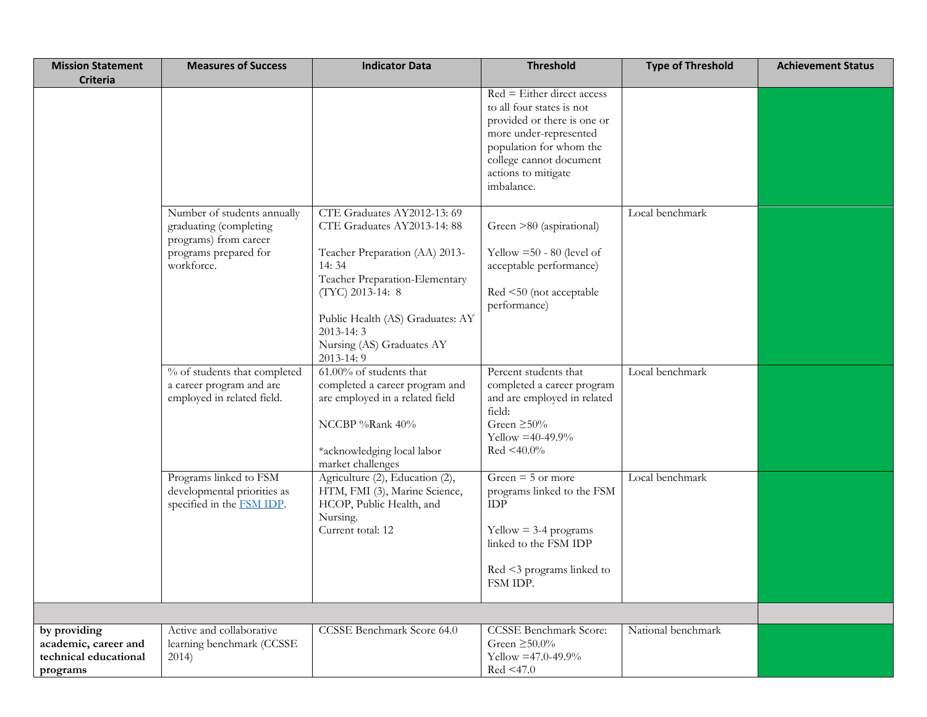| <b>Mission Statement</b><br><b>Criteria</b>                               | <b>Measures of Success</b>                                                                                            | <b>Indicator Data</b>                                                                                                                                                                                                                                       | <b>Threshold</b>                                                                                                                                                                                              | <b>Type of Threshold</b> | <b>Achievement Status</b> |
|---------------------------------------------------------------------------|-----------------------------------------------------------------------------------------------------------------------|-------------------------------------------------------------------------------------------------------------------------------------------------------------------------------------------------------------------------------------------------------------|---------------------------------------------------------------------------------------------------------------------------------------------------------------------------------------------------------------|--------------------------|---------------------------|
|                                                                           |                                                                                                                       |                                                                                                                                                                                                                                                             | $Red = Either direct access$<br>to all four states is not<br>provided or there is one or<br>more under-represented<br>population for whom the<br>college cannot document<br>actions to mitigate<br>imbalance. |                          |                           |
|                                                                           | Number of students annually<br>graduating (completing<br>programs) from career<br>programs prepared for<br>workforce. | CTE Graduates AY2012-13: 69<br>CTE Graduates AY2013-14: 88<br>Teacher Preparation (AA) 2013-<br>14:34<br>Teacher Preparation-Elementary<br>(TYC) 2013-14: 8<br>Public Health (AS) Graduates: AY<br>$2013 - 14:3$<br>Nursing (AS) Graduates AY<br>2013-14: 9 | Green >80 (aspirational)<br>Yellow $=50 - 80$ (level of<br>acceptable performance)<br>Red <50 (not acceptable<br>performance)                                                                                 | Local benchmark          |                           |
|                                                                           | % of students that completed<br>a career program and are<br>employed in related field.                                | 61.00% of students that<br>completed a career program and<br>are employed in a related field<br>NCCBP %Rank 40%<br>*acknowledging local labor<br>market challenges                                                                                          | Percent students that<br>completed a career program<br>and are employed in related<br>field:<br>Green $\geq 50\%$<br>Yellow = $40-49.9%$<br>$Red < 40.0\%$                                                    | Local benchmark          |                           |
|                                                                           | Programs linked to FSM<br>developmental priorities as<br>specified in the <b>FSM IDP</b> .                            | Agriculture (2), Education (2),<br>HTM, FMI (3), Marine Science,<br>HCOP, Public Health, and<br>Nursing.<br>Current total: 12                                                                                                                               | Green $=$ 5 or more<br>programs linked to the FSM<br>$\mathop{\rm IDP}\nolimits$<br>$Yellow = 3-4 programs$<br>linked to the FSM IDP<br>Red <3 programs linked to<br>FSM IDP.                                 | Local benchmark          |                           |
| by providing<br>academic, career and<br>technical educational<br>programs | Active and collaborative<br>learning benchmark (CCSSE<br>2014)                                                        | <b>CCSSE Benchmark Score 64.0</b>                                                                                                                                                                                                                           | <b>CCSSE Benchmark Score:</b><br>Green $\geq 50.0\%$<br>Yellow = 47.0-49.9%<br>Red < 47.0                                                                                                                     | National benchmark       |                           |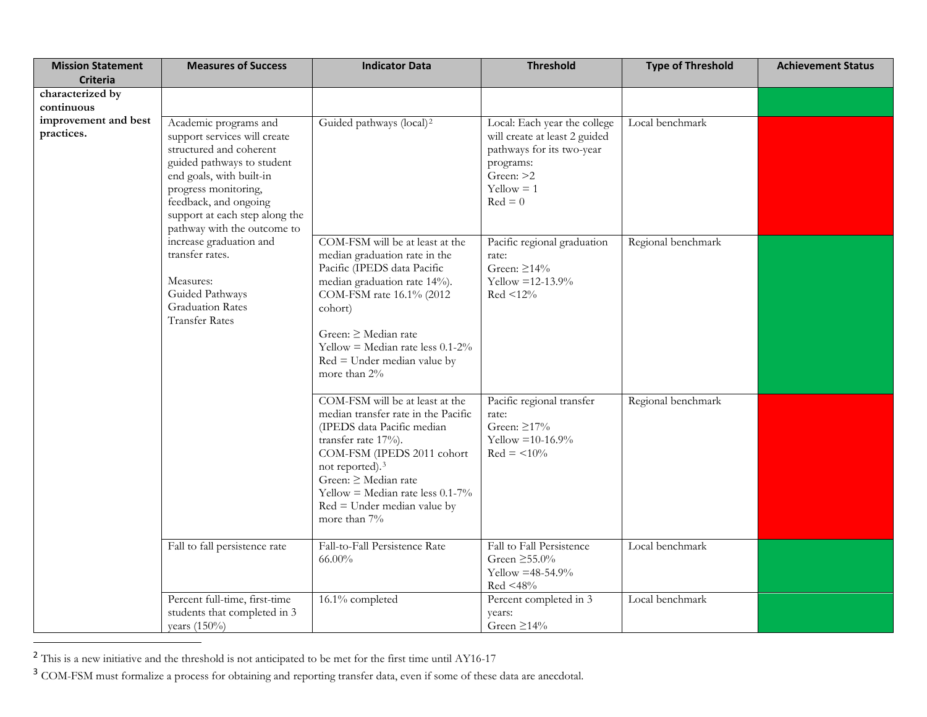<span id="page-3-1"></span><span id="page-3-0"></span>

| <b>Mission Statement</b>           | <b>Measures of Success</b>                                                                                                                                                                                                                                                                                                                                                                     | <b>Indicator Data</b>                                                                                                                                                                                                                                                                                    | <b>Threshold</b>                                                                                                                                  | <b>Type of Threshold</b> | <b>Achievement Status</b> |
|------------------------------------|------------------------------------------------------------------------------------------------------------------------------------------------------------------------------------------------------------------------------------------------------------------------------------------------------------------------------------------------------------------------------------------------|----------------------------------------------------------------------------------------------------------------------------------------------------------------------------------------------------------------------------------------------------------------------------------------------------------|---------------------------------------------------------------------------------------------------------------------------------------------------|--------------------------|---------------------------|
| <b>Criteria</b>                    |                                                                                                                                                                                                                                                                                                                                                                                                |                                                                                                                                                                                                                                                                                                          |                                                                                                                                                   |                          |                           |
| characterized by<br>continuous     |                                                                                                                                                                                                                                                                                                                                                                                                |                                                                                                                                                                                                                                                                                                          |                                                                                                                                                   |                          |                           |
| improvement and best<br>practices. | Academic programs and<br>support services will create<br>structured and coherent<br>guided pathways to student<br>end goals, with built-in<br>progress monitoring,<br>feedback, and ongoing<br>support at each step along the<br>pathway with the outcome to<br>increase graduation and<br>transfer rates.<br>Measures:<br>Guided Pathways<br><b>Graduation Rates</b><br><b>Transfer Rates</b> | Guided pathways (local) <sup>2</sup>                                                                                                                                                                                                                                                                     | Local: Each year the college<br>will create at least 2 guided<br>pathways for its two-year<br>programs:<br>Green: >2<br>$Yellow = 1$<br>$Red = 0$ | Local benchmark          |                           |
|                                    |                                                                                                                                                                                                                                                                                                                                                                                                | COM-FSM will be at least at the<br>median graduation rate in the<br>Pacific (IPEDS data Pacific<br>median graduation rate 14%).<br>COM-FSM rate 16.1% (2012<br>cohort)<br>Green: $\geq$ Median rate<br>Yellow = Median rate less $0.1$ -2%<br>$Red = Under median value by$<br>more than $2\%$           | Pacific regional graduation<br>rate:<br>Green: $\geq$ 14%<br>Yellow = $12-13.9%$<br>$Red < 12\%$                                                  | Regional benchmark       |                           |
|                                    |                                                                                                                                                                                                                                                                                                                                                                                                | COM-FSM will be at least at the<br>median transfer rate in the Pacific<br>(IPEDS data Pacific median<br>transfer rate 17%).<br>COM-FSM (IPEDS 2011 cohort<br>not reported). <sup>3</sup><br>Green: ≥ Median rate<br>Yellow = Median rate less $0.1$ -7%<br>$Red = Under median value by$<br>more than 7% | Pacific regional transfer<br>rate:<br>Green: $\geq$ 17%<br>Yellow = $10-16.9%$<br>$Red = <10\%$                                                   | Regional benchmark       |                           |
|                                    | Fall to fall persistence rate                                                                                                                                                                                                                                                                                                                                                                  | Fall-to-Fall Persistence Rate<br>$66.00\%$                                                                                                                                                                                                                                                               | Fall to Fall Persistence<br>Green $\geq 55.0\%$<br>Yellow = $48-54.9%$<br>Red <48%                                                                | Local benchmark          |                           |
|                                    | Percent full-time, first-time<br>students that completed in 3<br>years $(150\%)$                                                                                                                                                                                                                                                                                                               | 16.1% completed                                                                                                                                                                                                                                                                                          | Percent completed in 3<br>years:<br>Green $\geq$ 14%                                                                                              | Local benchmark          |                           |

<sup>&</sup>lt;sup>2</sup> This is a new initiative and the threshold is not anticipated to be met for the first time until AY16-17

 $\overline{a}$ 

<sup>3</sup> COM-FSM must formalize a process for obtaining and reporting transfer data, even if some of these data are anecdotal.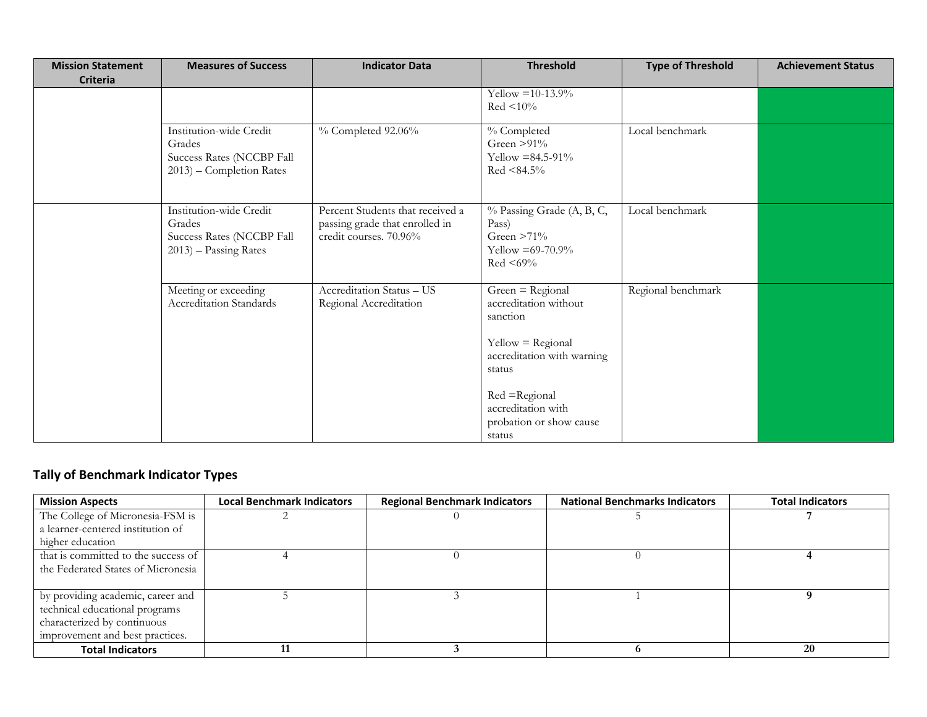| <b>Mission Statement</b><br><b>Criteria</b> | <b>Measures of Success</b>                                                                 | <b>Indicator Data</b>                                                                        | <b>Threshold</b>                                                                                                                         | <b>Type of Threshold</b> | <b>Achievement Status</b> |
|---------------------------------------------|--------------------------------------------------------------------------------------------|----------------------------------------------------------------------------------------------|------------------------------------------------------------------------------------------------------------------------------------------|--------------------------|---------------------------|
|                                             |                                                                                            |                                                                                              | Yellow = $10-13.9%$<br>$Red < 10\%$                                                                                                      |                          |                           |
|                                             | Institution-wide Credit<br>Grades<br>Success Rates (NCCBP Fall<br>2013) – Completion Rates | $%$ Completed $92.06\%$                                                                      | % Completed<br>Green $>91\%$<br>Yellow = $84.5 - 91\%$<br>$Red < 84.5\%$                                                                 | Local benchmark          |                           |
|                                             | Institution-wide Credit<br>Grades<br>Success Rates (NCCBP Fall<br>$2013$ ) – Passing Rates | Percent Students that received a<br>passing grade that enrolled in<br>credit courses. 70.96% | % Passing Grade (A, B, C,<br>Pass)<br>Green $>71\%$<br>Yellow = $69-70.9\%$<br>$Red < 69\%$                                              | Local benchmark          |                           |
|                                             | Meeting or exceeding<br>Accreditation Standards                                            | Accreditation Status - US<br>Regional Accreditation                                          | $Green = Regional$<br>accreditation without<br>sanction<br>$Yellow = Regional$<br>accreditation with warning<br>status<br>Red = Regional | Regional benchmark       |                           |
|                                             |                                                                                            |                                                                                              | accreditation with<br>probation or show cause<br>status                                                                                  |                          |                           |

## **Tally of Benchmark Indicator Types**

| <b>Mission Aspects</b>              | <b>Local Benchmark Indicators</b> | <b>Regional Benchmark Indicators</b> | <b>National Benchmarks Indicators</b> | <b>Total Indicators</b> |
|-------------------------------------|-----------------------------------|--------------------------------------|---------------------------------------|-------------------------|
| The College of Micronesia-FSM is    |                                   |                                      |                                       |                         |
| a learner-centered institution of   |                                   |                                      |                                       |                         |
| higher education                    |                                   |                                      |                                       |                         |
| that is committed to the success of |                                   |                                      |                                       |                         |
| the Federated States of Micronesia  |                                   |                                      |                                       |                         |
|                                     |                                   |                                      |                                       |                         |
| by providing academic, career and   |                                   |                                      |                                       |                         |
| technical educational programs      |                                   |                                      |                                       |                         |
| characterized by continuous         |                                   |                                      |                                       |                         |
| improvement and best practices.     |                                   |                                      |                                       |                         |
| <b>Total Indicators</b>             |                                   |                                      |                                       | <b>20</b>               |